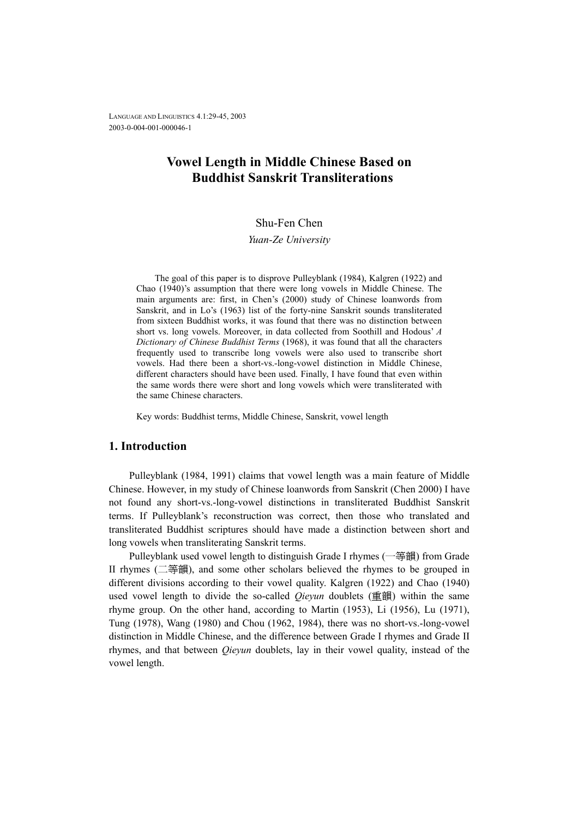LANGUAGE AND LINGUISTICS 4.1:29-45, 2003 2003-0-004-001-000046-1

## **Vowel Length in Middle Chinese Based on Buddhist Sanskrit Transliterations**

## Shu-Fen Chen

*Yuan-Ze University* 

The goal of this paper is to disprove Pulleyblank (1984), Kalgren (1922) and Chao (1940)'s assumption that there were long vowels in Middle Chinese. The main arguments are: first, in Chen's (2000) study of Chinese loanwords from Sanskrit, and in Lo's (1963) list of the forty-nine Sanskrit sounds transliterated from sixteen Buddhist works, it was found that there was no distinction between short vs. long vowels. Moreover, in data collected from Soothill and Hodous' *A Dictionary of Chinese Buddhist Terms* (1968), it was found that all the characters frequently used to transcribe long vowels were also used to transcribe short vowels. Had there been a short-vs.-long-vowel distinction in Middle Chinese, different characters should have been used. Finally, I have found that even within the same words there were short and long vowels which were transliterated with the same Chinese characters.

Key words: Buddhist terms, Middle Chinese, Sanskrit, vowel length

## **1. Introduction**

Pulleyblank (1984, 1991) claims that vowel length was a main feature of Middle Chinese. However, in my study of Chinese loanwords from Sanskrit (Chen 2000) I have not found any short-vs.-long-vowel distinctions in transliterated Buddhist Sanskrit terms. If Pulleyblank's reconstruction was correct, then those who translated and transliterated Buddhist scriptures should have made a distinction between short and long vowels when transliterating Sanskrit terms.

Pulleyblank used vowel length to distinguish Grade I rhymes (一等韻) from Grade II rhymes (二等韻), and some other scholars believed the rhymes to be grouped in different divisions according to their vowel quality. Kalgren (1922) and Chao (1940) used vowel length to divide the so-called *Qieyun* doublets (重韻) within the same rhyme group. On the other hand, according to Martin (1953), Li (1956), Lu (1971), Tung (1978), Wang (1980) and Chou (1962, 1984), there was no short-vs.-long-vowel distinction in Middle Chinese, and the difference between Grade I rhymes and Grade II rhymes, and that between *Qieyun* doublets, lay in their vowel quality, instead of the vowel length.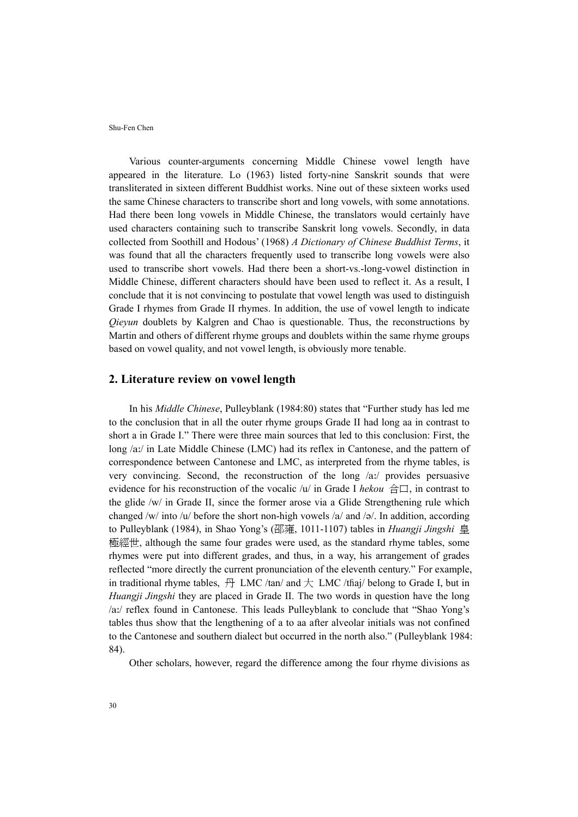Various counter-arguments concerning Middle Chinese vowel length have appeared in the literature. Lo (1963) listed forty-nine Sanskrit sounds that were transliterated in sixteen different Buddhist works. Nine out of these sixteen works used the same Chinese characters to transcribe short and long vowels, with some annotations. Had there been long vowels in Middle Chinese, the translators would certainly have used characters containing such to transcribe Sanskrit long vowels. Secondly, in data collected from Soothill and Hodous' (1968) *A Dictionary of Chinese Buddhist Terms*, it was found that all the characters frequently used to transcribe long vowels were also used to transcribe short vowels. Had there been a short-vs.-long-vowel distinction in Middle Chinese, different characters should have been used to reflect it. As a result, I conclude that it is not convincing to postulate that vowel length was used to distinguish Grade I rhymes from Grade II rhymes. In addition, the use of vowel length to indicate *Qieyun* doublets by Kalgren and Chao is questionable. Thus, the reconstructions by Martin and others of different rhyme groups and doublets within the same rhyme groups based on vowel quality, and not vowel length, is obviously more tenable.

## **2. Literature review on vowel length**

In his *Middle Chinese*, Pulleyblank (1984:80) states that "Further study has led me to the conclusion that in all the outer rhyme groups Grade II had long aa in contrast to short a in Grade I." There were three main sources that led to this conclusion: First, the long /a:/ in Late Middle Chinese (LMC) had its reflex in Cantonese, and the pattern of correspondence between Cantonese and LMC, as interpreted from the rhyme tables, is very convincing. Second, the reconstruction of the long /a:/ provides persuasive evidence for his reconstruction of the vocalic /u/ in Grade I *hekou* 合口, in contrast to the glide /w/ in Grade II, since the former arose via a Glide Strengthening rule which changed /w/ into /u/ before the short non-high vowels /a/ and / $\sigma$ /. In addition, according to Pulleyblank (1984), in Shao Yong's (邵雍, 1011-1107) tables in *Huangji Jingshi* 皇 極經世, although the same four grades were used, as the standard rhyme tables, some rhymes were put into different grades, and thus, in a way, his arrangement of grades reflected "more directly the current pronunciation of the eleventh century." For example, in traditional rhyme tables,  $\frac{H}{H}$  LMC /tan/ and  $\frac{H}{H}$  LMC /thai/ belong to Grade I, but in *Huangji Jingshi* they are placed in Grade II. The two words in question have the long /a:/ reflex found in Cantonese. This leads Pulleyblank to conclude that "Shao Yong's tables thus show that the lengthening of a to aa after alveolar initials was not confined to the Cantonese and southern dialect but occurred in the north also." (Pulleyblank 1984: 84).

Other scholars, however, regard the difference among the four rhyme divisions as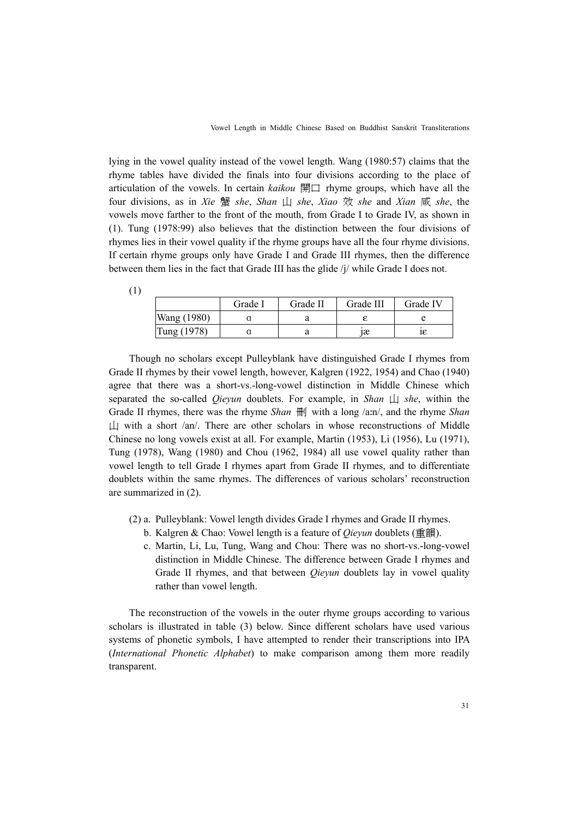lying in the vowel quality instead of the vowel length. Wang (1980:57) claims that the rhyme tables have divided the finals into four divisions according to the place of articulation of the vowels. In certain *kaikou* 開口 rhyme groups, which have all the four divisions, as in *Xie* 蟹 *she*, *Shan* 山 *she*, *Xiao* 效 *she* and *Xian* 咸 *she*, the vowels move farther to the front of the mouth, from Grade I to Grade IV, as shown in (1). Tung (1978:99) also believes that the distinction between the four divisions of rhymes lies in their vowel quality if the rhyme groups have all the four rhyme divisions. If certain rhyme groups only have Grade I and Grade III rhymes, then the difference between them lies in the fact that Grade III has the glide /j/ while Grade I does not.

|             | Grade I | Grade II | Grade III | Grade IV |
|-------------|---------|----------|-----------|----------|
| Wang (1980) |         |          |           |          |
| Tung (1978) |         |          | ıæ        | I٤       |

(1)

Though no scholars except Pulleyblank have distinguished Grade I rhymes from Grade II rhymes by their vowel length, however, Kalgren (1922, 1954) and Chao (1940) agree that there was a short-vs.-long-vowel distinction in Middle Chinese which separated the so-called *Qieyun* doublets. For example, in *Shan* 山 *she*, within the Grade II rhymes, there was the rhyme *Shan*  $\mathbb{H}$  with a long /a:n/, and the rhyme *Shan*  $\Box$  with a short /an/. There are other scholars in whose reconstructions of Middle Chinese no long vowels exist at all. For example, Martin (1953), Li (1956), Lu (1971), Tung (1978), Wang (1980) and Chou (1962, 1984) all use vowel quality rather than vowel length to tell Grade I rhymes apart from Grade II rhymes, and to differentiate doublets within the same rhymes. The differences of various scholars' reconstruction are summarized in (2).

- (2) a. Pulleyblank: Vowel length divides Grade I rhymes and Grade II rhymes.
	- b. Kalgren & Chao: Vowel length is a feature of *Qieyun* doublets (重韻).
	- c. Martin, Li, Lu, Tung, Wang and Chou: There was no short-vs.-long-vowel distinction in Middle Chinese. The difference between Grade I rhymes and Grade II rhymes, and that between *Qieyun* doublets lay in vowel quality rather than vowel length.

The reconstruction of the vowels in the outer rhyme groups according to various scholars is illustrated in table (3) below. Since different scholars have used various systems of phonetic symbols, I have attempted to render their transcriptions into IPA (*International Phonetic Alphabet*) to make comparison among them more readily transparent.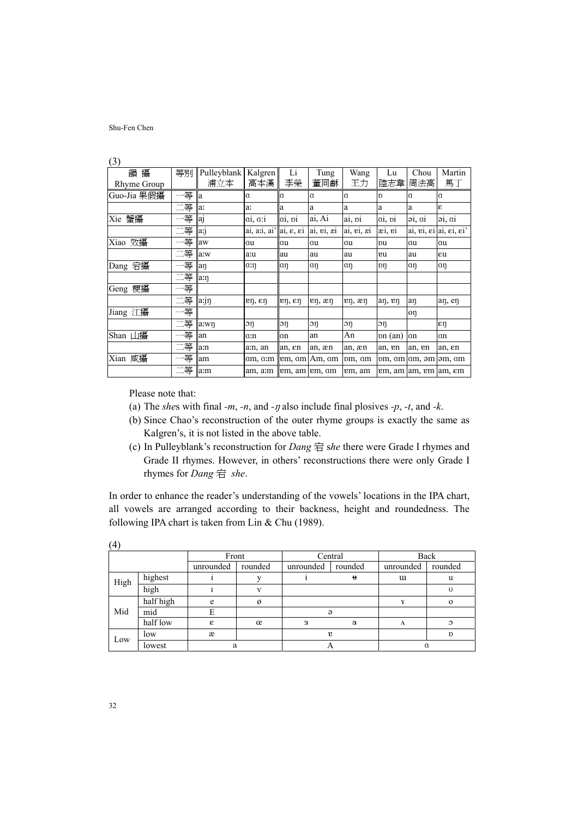| 韻攝          | 等別 | Pulleyblank   Kalgren    |                                                  | Li                            | Tung                           | Wang                            | Lu             | Chou                                | Martin                                               |
|-------------|----|--------------------------|--------------------------------------------------|-------------------------------|--------------------------------|---------------------------------|----------------|-------------------------------------|------------------------------------------------------|
| Rhyme Group |    | 浦立本                      | 高本漢                                              | 李榮                            | 董同龢                            | 王力                              | 陸志韋            | 周法高                                 | 馬丁                                                   |
| Guo-Jia 果假攝 | 等  | lla                      | Ιa                                               | Ιa                            | ١a                             | <sub>a</sub>                    | $\mathbf{D}$   | a                                   | $\alpha$                                             |
|             | 二等 | la:                      | la:                                              | la                            | a                              | a                               | a              | a                                   | ε                                                    |
| Xie 蟹攝      | 等  | <sub>a<sub>j</sub></sub> | a1, a1                                           | $a_1$ , $p_1$                 | ai, Ai                         | a <sub>1</sub> , p <sub>1</sub> | $a_1$ , $p_1$  | $\mathfrak{D}_1$ , $\mathfrak{Q}_1$ | 91, 01                                               |
|             | 二等 | a:                       | ai, a:i, ai' ai, $\varepsilon$ , $\varepsilon$ i |                               | ai, ei, æi                     | ai, ei, æi                      | $x_1, y_1$     |                                     | ai, ei, $\epsilon$ i ai, $\epsilon$ i, $\epsilon$ i' |
| Xiao 效攝     | 一等 | aw                       | lau                                              | lau                           | au                             | au                              | pu             | αu                                  | au                                                   |
|             | 二等 | a:w                      | a:u                                              | lau                           | au                             | au                              | еu             | au                                  | εu                                                   |
| Dang 宕攝     | 等  | lan                      | $\alpha$ :n                                      | $a\eta$                       | $a\eta$                        | aη                              | pη             | αη                                  | αŋ                                                   |
|             | 二等 | a:n                      |                                                  |                               |                                |                                 |                |                                     |                                                      |
| Geng 梗攝     | 一等 |                          |                                                  |                               |                                |                                 |                |                                     |                                                      |
|             | 二等 | an                       | $\mathbf{r}$ , $\epsilon$ η                      | $\mathfrak{m}, \mathfrak{en}$ | $\mathbf{e}$ n, $\mathbf{e}$ n | $\mathbf{r}$ , $\mathbf{r}$     | an, en         | aη                                  | an, en                                               |
| Jiang 江攝    | 等  |                          |                                                  |                               |                                |                                 |                | oη                                  |                                                      |
|             | 二等 | a:wn                     | $\mathop{\rm{op}}\nolimits$                      | $\mathop{\rm{op}}\nolimits$   | $\mathfrak{D}$                 | $\mathfrak{D}$                  | $\mathfrak{D}$ |                                     | εη                                                   |
| Shan 山攝     | 等  | an                       | aːn                                              | αn                            | an                             | An                              | pn (an)        | αn                                  | an                                                   |
|             | 二等 | a:n                      | am, an                                           | an, en                        | an, æn                         | an, æn                          | an, en         | an, en                              | an, en                                               |
| Xian 咸攝     | 等  | am                       | am, am                                           |                               | lem, am Am, am                 | pm, am                          |                | pm, am am, əm əm, am                |                                                      |
|             | 二等 | a:m                      | am, a:m   em, am   em, am                        |                               |                                | em, am                          |                | em, am am, em am, em                |                                                      |

(3)

Please note that:

- (a) The *shes* with final *-m*, *-n*, and *-y* also include final plosives *-p*, *-t*, and *-k*.
- (b) Since Chao's reconstruction of the outer rhyme groups is exactly the same as Kalgren's, it is not listed in the above table.
- (c) In Pulleyblank's reconstruction for *Dang* 宕 s*he* there were Grade I rhymes and Grade II rhymes. However, in others' reconstructions there were only Grade I rhymes for *Dang* 宕 *she*.

In order to enhance the reader's understanding of the vowels' locations in the IPA chart, all vowels are arranged according to their backness, height and roundedness. The following IPA chart is taken from Lin & Chu (1989).

|      |           | Front     |             |           | Central      | Back      |               |  |
|------|-----------|-----------|-------------|-----------|--------------|-----------|---------------|--|
|      |           | unrounded | rounded     | unrounded | rounded      | unrounded | rounded       |  |
| High | highest   |           |             |           | Ħ            | u         | u             |  |
|      | high      |           | $\mathbf v$ |           |              |           | U             |  |
|      | half high | e         | Ø           |           |              |           | $\Omega$      |  |
| Mid  | mid       | E         |             |           | $\Theta$     |           |               |  |
|      | half low  | £.        | œ           | з         | 8            | Λ         | $\mathcal{O}$ |  |
| Low  | low       | æ         |             |           | $\mathbf{r}$ |           | $\mathbf{D}$  |  |
|      | lowest    | a         |             |           |              |           |               |  |

(4)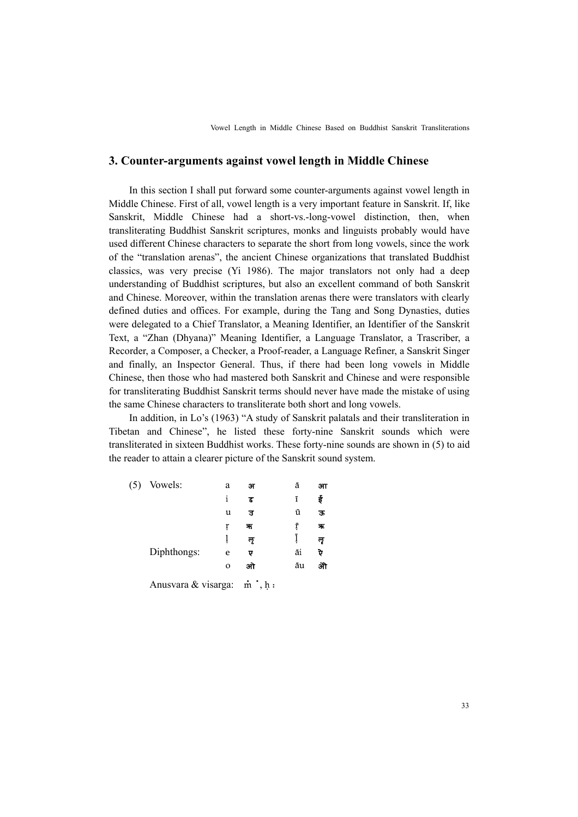## **3. Counter-arguments against vowel length in Middle Chinese**

In this section I shall put forward some counter-arguments against vowel length in Middle Chinese. First of all, vowel length is a very important feature in Sanskrit. If, like Sanskrit, Middle Chinese had a short-vs.-long-vowel distinction, then, when transliterating Buddhist Sanskrit scriptures, monks and linguists probably would have used different Chinese characters to separate the short from long vowels, since the work of the "translation arenas", the ancient Chinese organizations that translated Buddhist classics, was very precise (Yi 1986). The major translators not only had a deep understanding of Buddhist scriptures, but also an excellent command of both Sanskrit and Chinese. Moreover, within the translation arenas there were translators with clearly defined duties and offices. For example, during the Tang and Song Dynasties, duties were delegated to a Chief Translator, a Meaning Identifier, an Identifier of the Sanskrit Text, a "Zhan (Dhyana)" Meaning Identifier, a Language Translator, a Trascriber, a Recorder, a Composer, a Checker, a Proof-reader, a Language Refiner, a Sanskrit Singer and finally, an Inspector General. Thus, if there had been long vowels in Middle Chinese, then those who had mastered both Sanskrit and Chinese and were responsible for transliterating Buddhist Sanskrit terms should never have made the mistake of using the same Chinese characters to transliterate both short and long vowels.

In addition, in Lo's (1963) "A study of Sanskrit palatals and their transliteration in Tibetan and Chinese", he listed these forty-nine Sanskrit sounds which were transliterated in sixteen Buddhist works. These forty-nine sounds are shown in (5) to aid the reader to attain a clearer picture of the Sanskrit sound system.

| Vowels:     | a            | अ   | ā  | आ  |
|-------------|--------------|-----|----|----|
|             | i            | ड   | ī  | ई  |
|             | u            | ਤ   | ū  | ऊ  |
|             | ŗ            | ন্য | ŗ  | 茉  |
|             |              | ল   |    | लृ |
| Diphthongs: | e            | ए   | āi | ऐ  |
|             | $\mathbf{o}$ | आ   | āu | ओ  |
|             |              |     |    |    |

Anusvara & visarga: m ·, h ·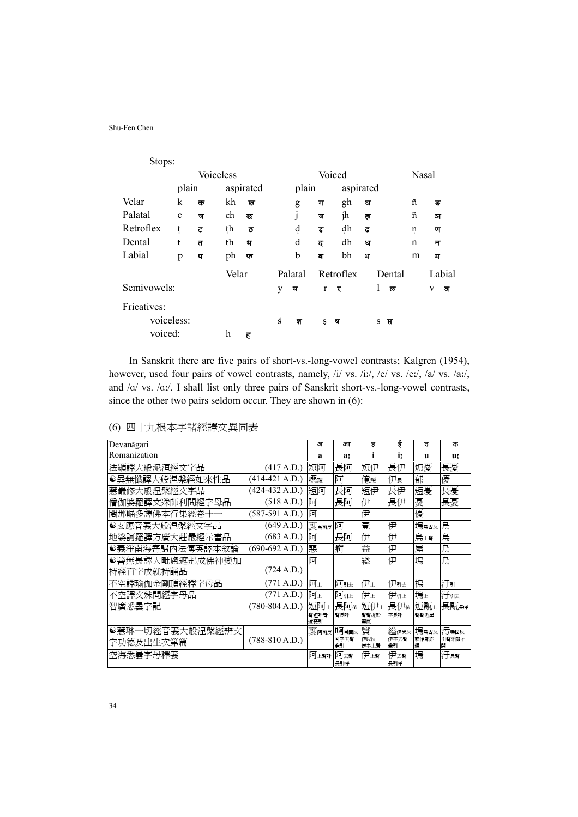| Stops:      |              |   |                  |           |   |              |          |           |   |        |             |        |
|-------------|--------------|---|------------------|-----------|---|--------------|----------|-----------|---|--------|-------------|--------|
|             |              |   | <b>Voiceless</b> |           |   |              | Voiced   |           |   |        | Nasal       |        |
|             | plain        |   |                  | aspirated |   | plain        |          | aspirated |   |        |             |        |
| Velar       | k            | क | kh               | ख         |   | g            | ग        | gh        | ਬ |        | ñ           | ङ      |
| Palatal     | $\mathbf{C}$ | च | ch               | ত্ত       |   | $\mathbf{I}$ | ज        | jh        | झ |        | ñ           | ञ      |
| Retroflex   | ţ            | ざ | ţh               | ਠ         |   | ạ            | <u>र</u> | dh        | ਫ |        | ņ           | ण      |
| Dental      | t            | त | th               | थ         |   | d            | ਫ        | dh        | ਬ |        | $\mathbf n$ | न      |
| Labial      | p            | प | ph               | फ         |   | b            | ਕ        | bh        | ਮ |        | m           | म      |
|             |              |   | Velar            |           |   | Palatal      |          | Retroflex |   | Dental |             | Labial |
| Semivowels: |              |   |                  |           | y | य            | r        | र         |   | 1<br>ਨ |             | V<br>ਕ |
| Fricatives: |              |   |                  |           |   |              |          |           |   |        |             |        |
|             | voiceless:   |   |                  |           | ś | श            | Ş        | ष         |   | S<br>स |             |        |
| voiced:     |              |   | h                | ह         |   |              |          |           |   |        |             |        |

In Sanskrit there are five pairs of short-vs.-long-vowel contrasts; Kalgren (1954), however, used four pairs of vowel contrasts, namely, /i/ vs. /i:/, /e/ vs. /e:/, /a/ vs. /a:/, and  $/\alpha$ / vs.  $/\alpha$ :/. I shall list only three pairs of Sanskrit short-vs.-long-vowel contrasts, since the other two pairs seldom occur. They are shown in (6):

|  |  |  | (6) 四十九根本字諸經譯文異同表 |  |  |
|--|--|--|-------------------|--|--|
|--|--|--|-------------------|--|--|

| Devanāgari      |                  | ௗ                | आ          | इ           | ई          | ਤ         | ऊ          |
|-----------------|------------------|------------------|------------|-------------|------------|-----------|------------|
| Romanization    |                  | a                | a:         | 1           | i:         | u         | u:         |
| 法顯譯大般泥洹經文字品     | (417 A.D.)       | 短阿               | 長阿         | 短伊          | 長伊         | 短憂        | 長憂         |
| ◉曇無懺譯大般涅槃經如來性品  | $(414-421 A.D.)$ | 噁短               | 阿          | 億短          | 伊長         | 郁         | 優          |
| 慧嚴修大般涅槃經文字品     | $(424-432 A.D.)$ | 短阿               | 長阿         | 短伊          | 長伊         | 短憂        | 長憂         |
| 僧伽婆羅譯文殊師利問經字母品  | (518 A.D.)       | 阿                | 長阿         | 伊           | 長伊         | 憂         | 長憂         |
| 闍那崛多譯佛本行集經卷十一   | (587-591 A.D.)   | 阿                |            | 伊           |            | 優         |            |
| ●玄應音義大般涅槃經文字品   | (649 A.D.)       | 哀鳥可反             | 阿          | 壹           | 伊          | 塢烏古反      | 烏          |
| 地婆訶羅譯方廣大莊嚴經示書品  | (683 A.D.)       | 阿                | 長阿         | 伊           | 伊          | 烏上聲       | 烏          |
| ●義淨南海寄歸內法傳英譯本敘論 | $(690-692 A.D.)$ | 惡                | 痾          | 益           | 伊          | 屋         | 烏          |
| ●善無畏譯大毗盧遮那成佛神變加 |                  | 阿                |            | 縊           | 伊          | 塢         | 烏          |
| 持經百字成就持誦品       | (724 A.D.)       |                  |            |             |            |           |            |
| 不空譯瑜伽金剛頂經釋字母品   | (771 A.D.)       | 阿玉               | 阿引去        | 伊上          | 伊那         | 摀         | 汗引         |
| 不空譯文殊問經字母品      | (771 A.D.)       | 阿玉               | 阿非         | 伊上          | 伊引上        | 塢上        | 汗引去        |
| 智廣悉曇字記          | $(780-804 A.D.)$ | 短阿玉              | 長阿依        | 短伊上         | 長伊依        | 短甌上       | 長甌長呼       |
|                 |                  | 聲短呼音<br>近票引      | 聲長呼        | 聲聲近於<br>翼反  | 字長呼        | 聲聲近屋      |            |
| ●慧琳一切經音義大般涅槃經辨文 |                  | 哀 <sub>阿可反</sub> | 啊阿窗反       | 贀           | 縊伊異反       | 塢鳥古反      | 污垢固反       |
| 字功德及出生次第篇       | $(788-810 A.D.)$ |                  | 阿字去聲<br>兼引 | 伊以反<br>伊字上聲 | 伊字去聲<br>兼引 | 或作鄔亦<br>通 | 引聲牙關不<br>開 |
| 空海悉曇字母釋義        |                  | 阿上聲呼             | 阿去聲        | 伊上聲         | 伊去聲        | 塢         | 汗長聲        |
|                 |                  |                  | 長引呼        |             | 長引呼        |           |            |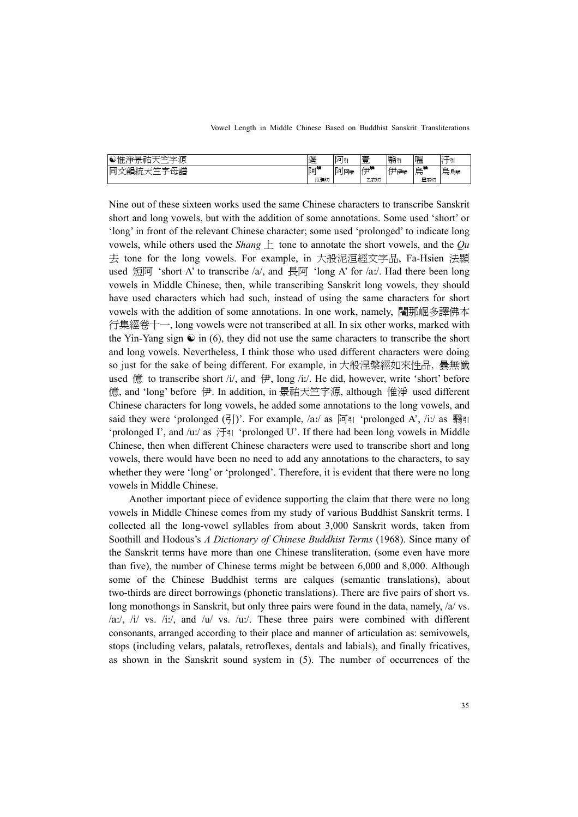| <b>A-A-A-MIX</b><br>"净景』<br>604年<br>源<br>∾ lī /⊸<br>_<br>ш.<br>шμ.<br>ᄄ | 遏   | 阿司<br>$\sim$<br>- | $\pm$<br>__<br>–<br>⋿<br>$\overline{\phantom{a}}$ | 翳                                   | 嗢                              |          |
|-------------------------------------------------------------------------|-----|-------------------|---------------------------------------------------|-------------------------------------|--------------------------------|----------|
| 一杯一<br>十三平<br>lп<br>面                                                   | 阿   | 阿阿喉               | <b>SCL</b><br>石山壁<br><u>н.</u>                    | → 「伊喉」.<br>$\overline{\phantom{0}}$ | وستقبل<br>-<br>$\overline{AB}$ | ∸<br>烏烏喉 |
|                                                                         | 厄鴉切 |                   | 乙衣切                                               |                                     | 屋巫切                            |          |

Nine out of these sixteen works used the same Chinese characters to transcribe Sanskrit short and long vowels, but with the addition of some annotations. Some used 'short' or 'long' in front of the relevant Chinese character; some used 'prolonged' to indicate long vowels, while others used the *Shang* 上 tone to annotate the short vowels, and the *Qu* 去 tone for the long vowels. For example, in 大般泥洹經文字品, Fa-Hsien 法顯 used 短阿 'short A' to transcribe /a/, and 長阿 'long A' for /a:/. Had there been long vowels in Middle Chinese, then, while transcribing Sanskrit long vowels, they should have used characters which had such, instead of using the same characters for short vowels with the addition of some annotations. In one work, namely, 闍那崛多譯佛本 行集經卷十一, long vowels were not transcribed at all. In six other works, marked with the Yin-Yang sign  $\odot$  in (6), they did not use the same characters to transcribe the short and long vowels. Nevertheless, I think those who used different characters were doing so just for the sake of being different. For example, in 大般涅槃經如來性品, 曇無懺 used 億 to transcribe short /i/, and 伊, long /iː/. He did, however, write 'short' before 億, and 'long' before 伊. In addition, in 景祐天竺字源, although 惟淨 used different Chinese characters for long vowels, he added some annotations to the long vowels, and said they were 'prolonged (引)'. For example,  $\langle$ a:/ as  $\overline{p}$  | 'prolonged A', /i:/ as 翳引 'prolonged I', and /u:/ as  $\mathbb{H}$  'prolonged U'. If there had been long vowels in Middle Chinese, then when different Chinese characters were used to transcribe short and long vowels, there would have been no need to add any annotations to the characters, to say whether they were 'long' or 'prolonged'. Therefore, it is evident that there were no long vowels in Middle Chinese.

Another important piece of evidence supporting the claim that there were no long vowels in Middle Chinese comes from my study of various Buddhist Sanskrit terms. I collected all the long-vowel syllables from about 3,000 Sanskrit words, taken from Soothill and Hodous's *A Dictionary of Chinese Buddhist Terms* (1968). Since many of the Sanskrit terms have more than one Chinese transliteration, (some even have more than five), the number of Chinese terms might be between 6,000 and 8,000. Although some of the Chinese Buddhist terms are calques (semantic translations), about two-thirds are direct borrowings (phonetic translations). There are five pairs of short vs. long monothongs in Sanskrit, but only three pairs were found in the data, namely,  $\alpha$  vs. /a:/, /i/ vs. /i:/, and /u/ vs. /u:/. These three pairs were combined with different consonants, arranged according to their place and manner of articulation as: semivowels, stops (including velars, palatals, retroflexes, dentals and labials), and finally fricatives, as shown in the Sanskrit sound system in (5). The number of occurrences of the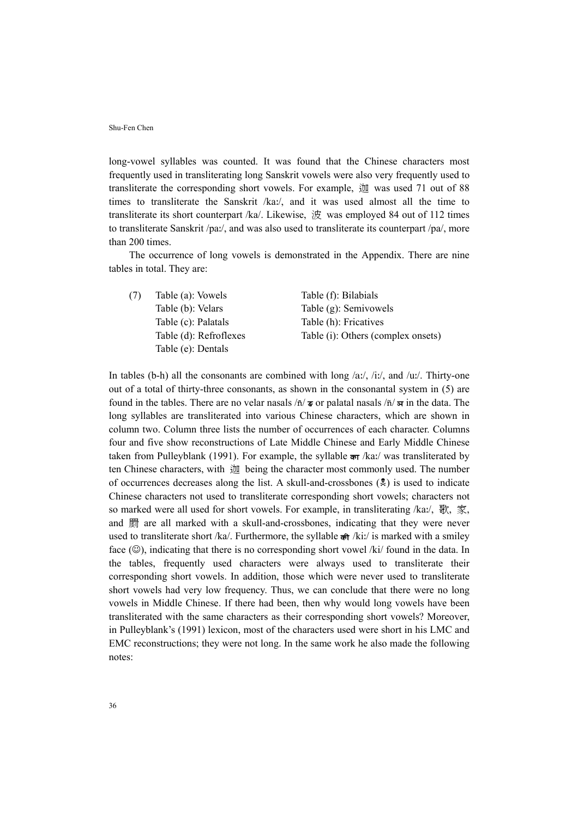long-vowel syllables was counted. It was found that the Chinese characters most frequently used in transliterating long Sanskrit vowels were also very frequently used to transliterate the corresponding short vowels. For example, 迦 was used 71 out of 88 times to transliterate the Sanskrit /ka:/, and it was used almost all the time to transliterate its short counterpart /ka/. Likewise,  $\dot{\mathcal{X}}$  was employed 84 out of 112 times to transliterate Sanskrit /pa:/, and was also used to transliterate its counterpart /pa/, more than 200 times.

The occurrence of long vowels is demonstrated in the Appendix. There are nine tables in total. They are:

| (7) | Table (a): Vowels      | Table (f): Bilabials               |
|-----|------------------------|------------------------------------|
|     | Table (b): Velars      | Table (g): Semivowels              |
|     | Table (c): Palatals    | Table (h): Fricatives              |
|     | Table (d): Refroflexes | Table (i): Others (complex onsets) |
|     | Table (e): Dentals     |                                    |

In tables (b-h) all the consonants are combined with long /a:/, /i:/, and /u:/. Thirty-one out of a total of thirty-three consonants, as shown in the consonantal system in (5) are found in the tables. There are no velar nasals  $/\bar{n}/\bar{s}$  or palatal nasals  $/\bar{n}/\bar{s}$  in the data. The long syllables are transliterated into various Chinese characters, which are shown in column two. Column three lists the number of occurrences of each character. Columns four and five show reconstructions of Late Middle Chinese and Early Middle Chinese taken from Pulleyblank (1991). For example, the syllable  $\frac{1}{2}$  /ka:/ was transliterated by ten Chinese characters, with 迦 being the character most commonly used. The number of occurrences decreases along the list. A skull-and-crossbones  $(\frac{1}{2})$  is used to indicate Chinese characters not used to transliterate corresponding short vowels; characters not so marked were all used for short vowels. For example, in transliterating /ka:/,  $\mathcal{R}, \mathcal{F}, \bar{\mathcal{F}}$ , and 罽 are all marked with a skull-and-crossbones, indicating that they were never used to transliterate short /ka/. Furthermore, the syllable  $\hat{\mathbf{\sigma}}$  /ki:/ is marked with a smiley face  $(\mathbb{Q})$ , indicating that there is no corresponding short vowel /ki/ found in the data. In the tables, frequently used characters were always used to transliterate their corresponding short vowels. In addition, those which were never used to transliterate short vowels had very low frequency. Thus, we can conclude that there were no long vowels in Middle Chinese. If there had been, then why would long vowels have been transliterated with the same characters as their corresponding short vowels? Moreover, in Pulleyblank's (1991) lexicon, most of the characters used were short in his LMC and EMC reconstructions; they were not long. In the same work he also made the following notes: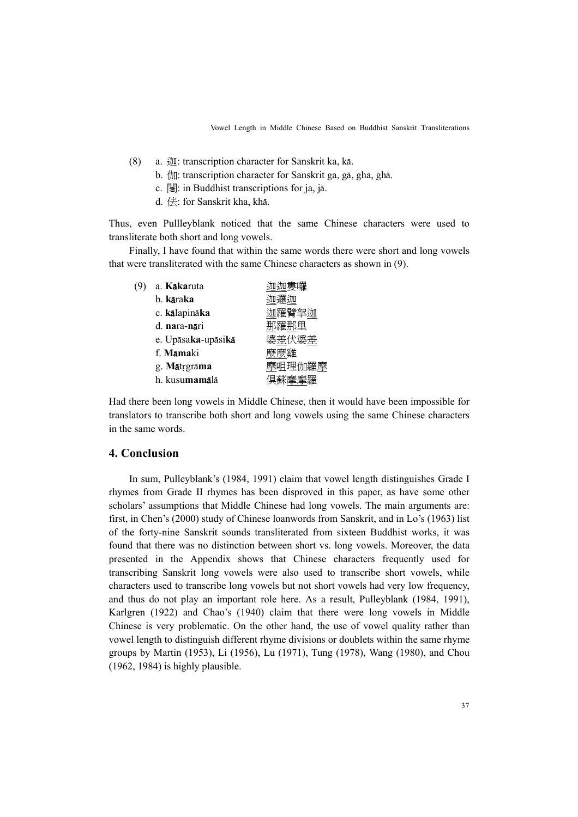- (8) a.  $\ddot{\text{m}}$ : transcription character for Sanskrit ka, kā.
	- b. *that*: transcription character for Sanskrit ga, gā, gha, ghā.
	- c. 闍: in Buddhist transcriptions for ja, jā.
	- d. 佉: for Sanskrit kha, khā.

Thus, even Pullleyblank noticed that the same Chinese characters were used to transliterate both short and long vowels.

Finally, I have found that within the same words there were short and long vowels that were transliterated with the same Chinese characters as shown in (9).

| a. K <b>ākaruta</b>    |        |
|------------------------|--------|
| b. kāraka              |        |
| c. kālapināka          | 迦羅臂挐迦  |
| d. nara-nāri           | 那羅那里   |
| e. Upāsaka-upāsikā     | 婆差伏婆差  |
| f. Mamaki              |        |
| g. Mātrgrāma           | 摩咀理伽羅摩 |
| h. kusu <b>mamā</b> lā |        |
|                        |        |

Had there been long vowels in Middle Chinese, then it would have been impossible for translators to transcribe both short and long vowels using the same Chinese characters in the same words.

## **4. Conclusion**

In sum, Pulleyblank's (1984, 1991) claim that vowel length distinguishes Grade I rhymes from Grade II rhymes has been disproved in this paper, as have some other scholars' assumptions that Middle Chinese had long vowels. The main arguments are: first, in Chen's (2000) study of Chinese loanwords from Sanskrit, and in Lo's (1963) list of the forty-nine Sanskrit sounds transliterated from sixteen Buddhist works, it was found that there was no distinction between short vs. long vowels. Moreover, the data presented in the Appendix shows that Chinese characters frequently used for transcribing Sanskrit long vowels were also used to transcribe short vowels, while characters used to transcribe long vowels but not short vowels had very low frequency, and thus do not play an important role here. As a result, Pulleyblank (1984, 1991), Karlgren (1922) and Chao's (1940) claim that there were long vowels in Middle Chinese is very problematic. On the other hand, the use of vowel quality rather than vowel length to distinguish different rhyme divisions or doublets within the same rhyme groups by Martin (1953), Li (1956), Lu (1971), Tung (1978), Wang (1980), and Chou (1962, 1984) is highly plausible.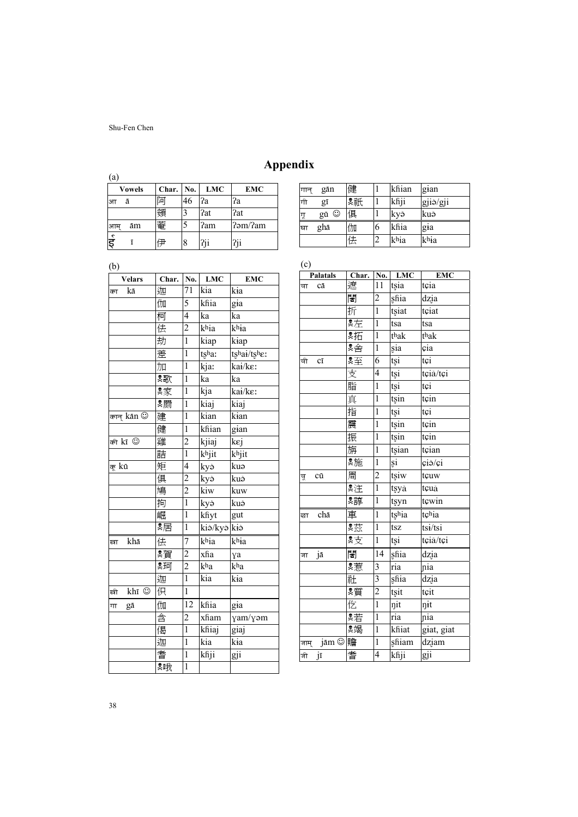| (a)<br><b>Vowels</b> | Char. | No. | <b>LMC</b> | <b>EMC</b>            |
|----------------------|-------|-----|------------|-----------------------|
| ā<br>आ               | Ľп    | 46  | ?a         | ?a                    |
|                      |       |     | ?at        | ?at                   |
| ām<br>आम             | 菴     |     | ?am        | 2 <sub>5</sub> cm/2am |
| ई                    |       | 8   | ?ii        |                       |

| गान | gān  | 健  |                | khian | gian     |
|-----|------|----|----------------|-------|----------|
| गी  | gī   | *祇 |                | khji  | gjiǎ/gji |
| गू  | gū © | 俱  |                | kyǎ   | kuð      |
| घा  | ghā  | 伽  | 6              | khia  | gia      |
|     |      | 佉  | $\mathfrak{D}$ | khia  | khia     |

| M. | I<br>۰, |
|----|---------|
| ×  |         |

| <b>Velars</b>      | Char. | No.            | <b>LMC</b> | <b>EMC</b>          |
|--------------------|-------|----------------|------------|---------------------|
| kā<br>का           | 迦     | 71             | kia        | kia                 |
|                    | 伽     | 5              | khia       | gia                 |
|                    | 柯     | $\overline{4}$ | ka         | ka                  |
|                    | 佉     | $\overline{2}$ | khia       | khia                |
|                    | 劫     | $\overline{1}$ | kiap       | kiap                |
|                    | 差     | $\mathbf{1}$   | tsha:      | tshai/tsher         |
|                    | 加     | 1              | kja:       | kai/ke:             |
|                    | *歌    | $\mathbf{1}$   | ka         | ka                  |
|                    | *家    | $\mathbf{1}$   | kja        | kai/ke:             |
|                    | Զ罽    | $\mathbf{1}$   | kiaj       | kiaj                |
| कान् kān ©         | 建     | 1              | kian       | kian                |
|                    | 健     | $\mathbf{1}$   | khian      | gian                |
| को $k$ ा $\degree$ | 雞     | $\overline{2}$ | kjiaj      | kej                 |
|                    | 詰     | $\overline{1}$ | khjit      | $\overline{k}$ hjit |
| कू kū              | 矩     | $\overline{4}$ | kyě        | kuo                 |
|                    | 俱     | $\overline{2}$ | kyă        | kuě                 |
|                    | 鳩     | $\overline{2}$ | kiw        | kuw                 |
|                    | 拘     | $\overline{1}$ | kyě        | kuð                 |
|                    | 崛     | $\mathbf{1}$   | kfiyt      | gut                 |
|                    | 累居    | $\mathbf{1}$   | ki<br>kis  |                     |
| khā<br>खा          | 佉     | 7              | khia       | khia                |
|                    | *賀    | $\overline{c}$ | xfia       | ya                  |
|                    | ஜॻ    | $\overline{2}$ | kha        | kha                 |
|                    | 迦     | $\overline{1}$ | kia        | kia                 |
| khī ©<br>ावी       | 伿     | $\mathbf{1}$   |            |                     |
| gā<br>गा           | 伽     | 12             | khia       | gia                 |
|                    | 含     | $\overline{c}$ | xfiam      | yam/yom             |
|                    | 偈     | $\overline{1}$ | khiaj      | giaj                |
|                    | 迦     | $\mathbf{1}$   | kia        | kia                 |
|                    | 耆     | $\mathbf{1}$   | khji       | gji                 |
|                    | *哦    | $\mathbf{1}$   |            |                     |

| (c)  |                 |       |                 |            |                       |  |  |  |
|------|-----------------|-------|-----------------|------------|-----------------------|--|--|--|
|      | <b>Palatals</b> | Char. | No.             | <b>LMC</b> | <b>EMC</b>            |  |  |  |
| चा   | cā              | 遮     | 11              | tsia       | tçia                  |  |  |  |
|      |                 | 闍     | $\overline{c}$  | shia       | dzia                  |  |  |  |
|      |                 | 折     | $\overline{1}$  | tsiat      | tçiat                 |  |  |  |
|      |                 | 雾左    | $\mathbf{1}$    | tsa        | tsa                   |  |  |  |
|      |                 | *拓    | $\mathbf{1}$    | thak       | thak                  |  |  |  |
|      |                 | *舎    | $\mathbf{1}$    | sia        | $\overline{cia}$      |  |  |  |
| ची   | $c\overline{i}$ | *至    | 6               | tşi        | tçi                   |  |  |  |
|      |                 | 支     | $\overline{4}$  | tşi        | tçiă/tçi              |  |  |  |
|      |                 | 脂     | $\mathbf{1}$    | tşi        | tçi                   |  |  |  |
|      |                 | 真     | $\mathbf{1}$    | tsin       | tçin                  |  |  |  |
|      |                 | 指     | $\mathbf{1}$    | tsi        | tçi                   |  |  |  |
|      |                 | 震     | 1               | tşin       | tçin                  |  |  |  |
|      |                 | 振     | $\mathbf{1}$    | tşin       | tçin                  |  |  |  |
|      |                 | 旃     | $\mathbf{1}$    | tsian      | tçian                 |  |  |  |
|      |                 | *施    | $\mathbf{1}$    | şi         | çiš/çi                |  |  |  |
| चू   | cū              | 周     | $\overline{c}$  | tsiw       | tçuw                  |  |  |  |
|      |                 | 财注    | $\overline{1}$  | tşyă       | tçuă                  |  |  |  |
|      |                 | 雾諄    | $\mathbf{1}$    | tşyn       | tçwin                 |  |  |  |
| छा   | chā             | 車     | $\mathbf{1}$    | tshia      | tchia                 |  |  |  |
|      |                 | *茲    | 1               | tsz        | $\overline{t}$ si/tsi |  |  |  |
|      |                 | *支    | $\overline{1}$  | tsi        | tçià/tçi              |  |  |  |
| जा   | jā              | 闍     | $\overline{14}$ | shia       | dzia                  |  |  |  |
|      |                 | 累惹    | 3               | ria        | nia                   |  |  |  |
|      |                 | 社     | $\overline{3}$  | shia       | dzia                  |  |  |  |
|      |                 | 関     | $\overline{c}$  | tsit       | tçit                  |  |  |  |
|      |                 | 仡     | $\mathbf{1}$    | nit        | nit                   |  |  |  |
|      |                 | *若    | 1               | ria        | nia                   |  |  |  |
|      |                 | ஜ 城   | $\mathbf{1}$    | khiat      | giat, giat            |  |  |  |
| जाम् | jām ©           | 贍     | $\mathbf{1}$    | shiam      | dziam                 |  |  |  |
| जी   | jī              | 耆     | $\overline{4}$  | khji       | gji                   |  |  |  |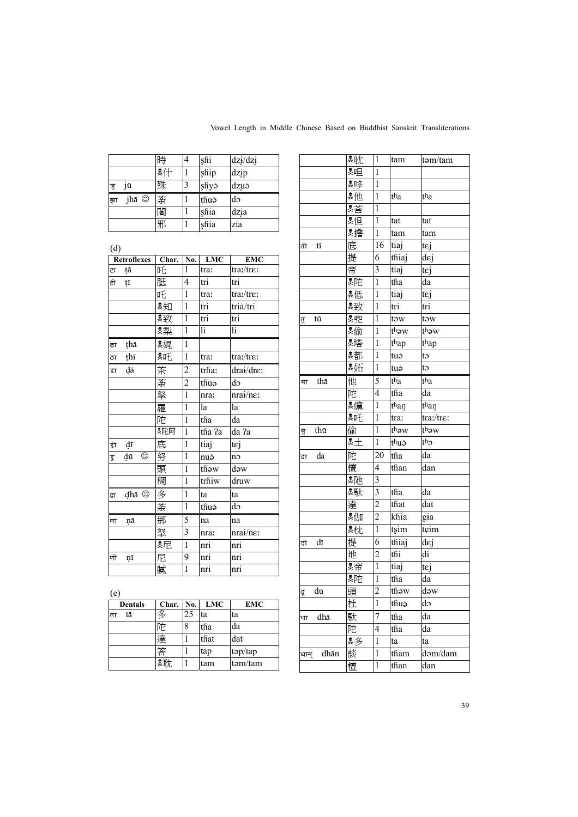|    |       | 時  | 4 | shi   | dz <sub>i</sub> /dz <sub>i</sub> |
|----|-------|----|---|-------|----------------------------------|
|    |       | *什 |   | ship  | dzip                             |
| जू | jū    | 殊  | 3 | şfiyə | dzuš                             |
| झा | jhā © | 荼  |   | thuě  | dэ                               |
|    |       | 闍  |   | shia  | dzia                             |
|    |       | 邪  |   | shia  | zia                              |

|    | (d)                |   |       |                            |                         |                                  |  |  |  |
|----|--------------------|---|-------|----------------------------|-------------------------|----------------------------------|--|--|--|
|    | <b>Retroflexes</b> |   | Char. | $\overline{\bf N}{\bf o}.$ | $\overline{\text{LMC}}$ | <b>EMC</b>                       |  |  |  |
| ਟਾ | tā                 |   | 吒     | 1                          | tra:                    | tra:/tre:                        |  |  |  |
| टी | tī                 |   | 胝     | 4                          | $\overline{\text{tri}}$ | tri                              |  |  |  |
|    |                    |   | 吒     | $\mathbf{1}$               | tra:                    | tra:/tre:                        |  |  |  |
|    |                    |   | *知    | $\mathbf{1}$               | tri                     | triă/tri                         |  |  |  |
|    |                    |   | 緊致    | $\mathbf{1}$               | $\overline{\text{tri}}$ | tri                              |  |  |  |
|    |                    |   | 㮾梨    | $\mathbf{1}$               | li                      | li                               |  |  |  |
| ਨਾ | ţhā                |   | 関堀    | $\mathbf{1}$               |                         |                                  |  |  |  |
| ਨਾ | thī                |   | 點吒    | $\mathbf{1}$               | tra:                    | tra:/tre:                        |  |  |  |
| डा | dā                 |   | 茶     | $\overline{c}$             | trha:                   | drai/dre:                        |  |  |  |
|    |                    |   | 荼     | $\overline{2}$             | thuě                    | do                               |  |  |  |
|    |                    |   | 拏     | $\mathbf{1}$               | nra:                    | nrai/ne:                         |  |  |  |
|    |                    |   | 羅     | $\mathbf{1}$               | la                      | la                               |  |  |  |
|    |                    |   | 陀     | $\mathbf{1}$               | tha                     | da                               |  |  |  |
|    |                    |   | 陀阿    | $\mathbf{1}$               | tha ?a                  | da ?a                            |  |  |  |
| डी | dī                 |   | 底     | $\mathbf{1}$               | tiaj                    | tej                              |  |  |  |
| डू | dū                 | ☺ | 努     | 1                          | nuð                     | no                               |  |  |  |
|    |                    |   | 頭     | 1                          | thow                    | $d$ ow                           |  |  |  |
|    |                    |   | 稠     | $\mathbf{1}$               | trhiw                   | druw                             |  |  |  |
| ढा | dhā ⊙              |   | 多     | $\mathbf{1}$               | ta                      | ta                               |  |  |  |
|    |                    |   | 荼     | $\mathbf{1}$               | thuě                    | do                               |  |  |  |
| णा | ņā                 |   | 那     | 5                          | na                      | na                               |  |  |  |
|    |                    |   | 拏     | 3                          | nra:                    | nra <sub>i</sub> /n <sub>ε</sub> |  |  |  |
|    |                    |   | *尼    | $\mathbf{1}$               | nri                     | nri                              |  |  |  |
| णी | nī                 |   | 尼     | 9                          | $\overline{m}$          | nri                              |  |  |  |
|    |                    |   | 膩     | $\overline{1}$             | nri                     | nri                              |  |  |  |

|              | 具航       | 1              | tam   | tom/tam   |
|--------------|----------|----------------|-------|-----------|
|              | ☆        | $\mathbf{1}$   |       |           |
|              | 剽荡       | 1              |       |           |
|              | *他       | 1              | tha   | tha       |
|              | *荅       | $\mathbf{1}$   |       |           |
|              | *怛       | $\mathbf{1}$   | tat   | tat       |
|              | 関擔       | $\mathbf{1}$   | tam   | tam       |
| ती<br>tī     | 底        | 16             | tiaj  | tej       |
|              | 提        | 6              | thiaj | dej       |
|              | 帝        | 3              | tiaj  | tεj       |
|              | 関陀       | $\mathbf{1}$   | tha   | da        |
|              | *低       | $\mathbf{1}$   | tiaj  | tej       |
|              | 婴致       | $\mathbf{1}$   | tri   | tri       |
| tū<br>ਰ੍     | *兜       | 1              | tow   | tow       |
|              | 関倫       | $\mathbf{1}$   | thow  | thow      |
|              | 関塔       | $\mathbf{1}$   | thap  | thap      |
|              | *都       | $\mathbf{1}$   | tuš   | to        |
|              | *妬       | $\mathbf{1}$   | tuð   | to        |
| thā<br>था    | 他        | 5              | tha   | tha       |
|              | 陀        | $\overline{4}$ | tha   | da        |
|              | 関黨       | 1              | than  | than      |
|              | *吒       | $\mathbf{1}$   | tra:  | tra:/tre: |
| thū<br>थु    | 偷        | $\mathbf{1}$   | thow  | thow      |
|              | இ⊥       | $\mathbf{1}$   | thuě  | $th_2$    |
| dā<br>दा     | 陀        | 20             | tha   | da        |
|              | 檀        | 4              | than  | dan       |
|              | <b>具</b> | 3              |       |           |
|              | 鸚        | 3              | tha   | da        |
|              | 達        | $\overline{c}$ | that  | dat       |
|              | ∙畑       | $\overline{2}$ | khia  | gia       |
|              | ■枕       | $\mathbf{1}$   | tsim  | tçim      |
| dī<br>दी     | 提        | 6              | thiaj | dej       |
|              | 地        | $\overline{c}$ | tĥi   | di        |
|              | *帝       | $\mathbf{1}$   | tiaj  | tej       |
|              | 関陀       | $\mathbf{1}$   | tha   | da        |
| dū<br>दू     | 頭        | $\overline{c}$ | thow  | dəw       |
|              | 杜        | $\mathbf{1}$   | thuě  | do        |
| dhā<br>धा    | 馱        | 7              | tha   | da        |
|              | 陀        | 4              | tha   | da        |
|              | 昊多       | $\mathbf{1}$   | ta    | ta        |
| dhān<br>धान् | 談        | 1              | tham  | dom/dam   |
|              | 檀        | 1              | than  | dan       |
|              |          |                |       |           |

| <b>ICI</b>     |       |     |            |            |
|----------------|-------|-----|------------|------------|
| <b>Dentals</b> | Char. | No. | <b>LMC</b> | <b>EMC</b> |
| tā             |       | 25  | ta         | ta         |
|                | 沱     | 8   | tha        | da         |
|                | 達     |     | that       | dat        |
|                | 饮     |     | tap        | top/tap    |
|                | 関耽    |     | tam        | tom/tam    |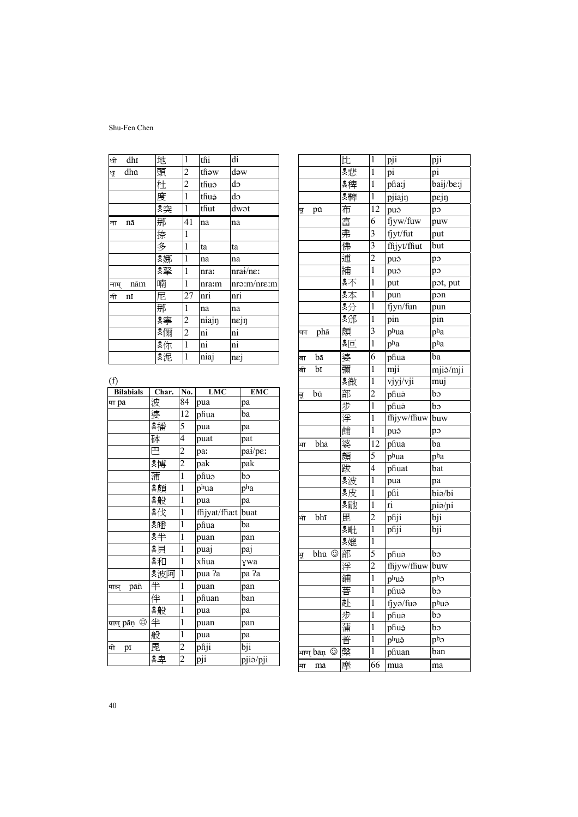| धी   | dhī | 地  | $\mathbf{1}$   | thi                    | di             |
|------|-----|----|----------------|------------------------|----------------|
| ਖ਼੍ਰ | dhū | 頭  | $\overline{c}$ | thow                   | dəw            |
|      |     | 杜  | $\overline{c}$ | thuě                   | do             |
|      |     | 度  | $\mathbf{1}$   | thuě                   | do             |
|      |     | 関突 | $\mathbf{1}$   | thut                   | dwət           |
| ना   | nā  | 那  | 41             | na                     | na             |
|      |     | 捺  | 1              |                        |                |
|      |     | 多  | $\mathbf{1}$   | ta                     | ta             |
|      |     | ஜ娜 | $\,1$          | na                     | na             |
|      |     | 驛  | $\mathbf{1}$   | nra:                   | $nraid/ne$ :   |
| नाम् | nām | 喃  | $\mathbf{1}$   | nra:m                  | nro:m/nre:m    |
| नी   | nī  | 尼  | 27             | nri                    | nri            |
|      |     | 那  | $\mathbf{1}$   | na                     | na             |
|      |     | ஜ寧 | $\overline{c}$ | niajn                  | nejn           |
|      |     | 関陽 | $\overline{2}$ | ni                     | ni             |
|      |     | *你 | $\mathbf{1}$   | $\overline{\text{ni}}$ | ni             |
|      |     | *泥 | $\mathbf{1}$   | niaj                   | $n\varepsilon$ |

 $(f)$ 

| $\left( \cdot \right)$<br><b>Bilabials</b> | Char. | No.            | <b>LMC</b>        | <b>EMC</b>        |
|--------------------------------------------|-------|----------------|-------------------|-------------------|
| पा pā                                      | 波     | 84             | pua               | рa                |
|                                            | 婆     | 12             | phua              | ba                |
|                                            | 関播    | 5              | pua               | pa                |
|                                            | 砵     | 4              | puat              | pat               |
|                                            | 巴     | $\overline{c}$ | pa:               | pai/pe:           |
|                                            | *博    | $\overline{c}$ | pak               | pak               |
|                                            | 蒲     | $\mathbf{1}$   | phuě              | bo                |
|                                            | 関     | $\mathbf{1}$   | phua              | pha               |
|                                            | *般    | $\mathbf{1}$   | pua               | pa                |
|                                            | *伐    | $\mathbf{1}$   | fhjyat/fha:t buat |                   |
|                                            | 関     | $\mathbf 1$    | phua              | ba                |
|                                            | *半    | $\mathbf{1}$   | puan              | pan               |
|                                            | 関     | $\mathbf{1}$   | puaj              | paj               |
|                                            | *和    | $\mathbf{1}$   | xfiua             | ywa               |
|                                            | 関波阿   | $\mathbf{1}$   | pua ?a            | pa ?a             |
| pāñ<br>पाञ्                                | 半     | $\mathbf{1}$   | puan              | pan               |
|                                            | 伴     | $\mathbf{1}$   | phuan             | ban               |
|                                            | 関般    | $\,1$          | pua               | pa                |
|                                            |       | $\mathbf{1}$   | puan              | pan               |
|                                            | 般     | $\mathbf{1}$   | pua               | pa                |
| पी<br>pī                                   | 毘     | $\overline{c}$ | phji              | $\overline{b}$ ji |
|                                            | *卑    | $\overline{c}$ | pji               | pjiă/pji          |

|     |            | 比  | $\mathbf{1}$            | pji         | pji                   |
|-----|------------|----|-------------------------|-------------|-----------------------|
|     |            | 累悲 | 1                       | pi          | pi                    |
|     |            | *稗 | $\mathbf{1}$            | pha:j       | baij/be:j             |
|     |            | 具脚 | $\mathbf{1}$            | pjiajn      | pejn                  |
| पू  | pū         | 布  | 12                      | puš         | po                    |
|     |            | 富  | 6                       | fjyw/fuw    | puw                   |
|     |            | 弗  | $\overline{\mathbf{3}}$ | fjyt/fut    | put                   |
|     |            | 佛  | $\overline{\mathbf{3}}$ | fhjyt/ffiut | but                   |
|     |            | 逋  | $\overline{2}$          | puš         | po                    |
|     |            | 補  | $\mathbf{1}$            | puš         | po                    |
|     |            | *不 | 1                       | put         | pot, put              |
|     |            | *本 | 1                       | pun         | pon                   |
|     |            | *分 | $\mathbf{1}$            | fjyn/fun    | pun                   |
|     |            | *邠 | $\mathbf{1}$            | pin         | pin                   |
| फा  | phā        | 頗  | 3                       | phua        | pha                   |
|     |            | இ⊡ | $\mathbf{1}$            | pha         | $\overline{p^h}$ a    |
| बा  | bā         | 婆  | 6                       | phua        | ba                    |
| बी  | bī         | 彌  | 1                       | mji         | mjiž/mji              |
|     |            | 具微 | $\mathbf{1}$            | vjyj/vji    | muj                   |
| बू  | bū         | 部  | $\overline{c}$          | phuě        | bo                    |
|     |            | 步  | $\overline{1}$          | phuě        | b                     |
|     |            | 浮  | $\mathbf{1}$            | fhjyw/fhuw  | buw                   |
|     |            | 餔  | $\mathbf 1$             | puš         | po                    |
| भा  | bhā        | 婆  | 12                      | phua        | ba                    |
|     |            | 頗  | 5                       | phua        | pha                   |
|     |            | 跋  | $\overline{4}$          | phuat       | bat                   |
|     |            | &波 | $\mathbf{1}$            | pua         | pa                    |
|     |            | *皮 | 1                       | phi         | biš/bi                |
|     |            | *馳 | $\mathbf{1}$            | ri          | ni <mark>ž/</mark> ni |
| भी  | bhī        | 毘  | $\overline{c}$          | phji        | bji                   |
|     |            | ஜ毗 | $\mathbf{1}$            | phji        | bji                   |
|     |            | ஜ媲 | 1                       |             |                       |
| ਮ੍ਰ | bhū ©      | 部  | 5                       | phuě        | bo                    |
|     |            | 浮  | $\overline{2}$          | fhjyw/fhuw  | buw                   |
|     |            | 鋪  | $\mathbf{1}$            | phuě        | $p^h$                 |
|     |            | 菩  | I                       | phuě        | bo                    |
|     |            | 赴  | 1                       | fjyð/fuð    | phuě                  |
|     |            | 步  | $\mathbf 1$             | phuě        | bo                    |
|     |            | 蒲  | $\mathbf 1$             | phuě        | bo                    |
|     |            | 普  | $\mathbf{1}$            | phuě        | $p^h$                 |
|     | भाण् bāṇ © | 槃  | 1                       | phuan       | ban                   |
| मा  | mā         | 摩  | 66                      | mua         | ma                    |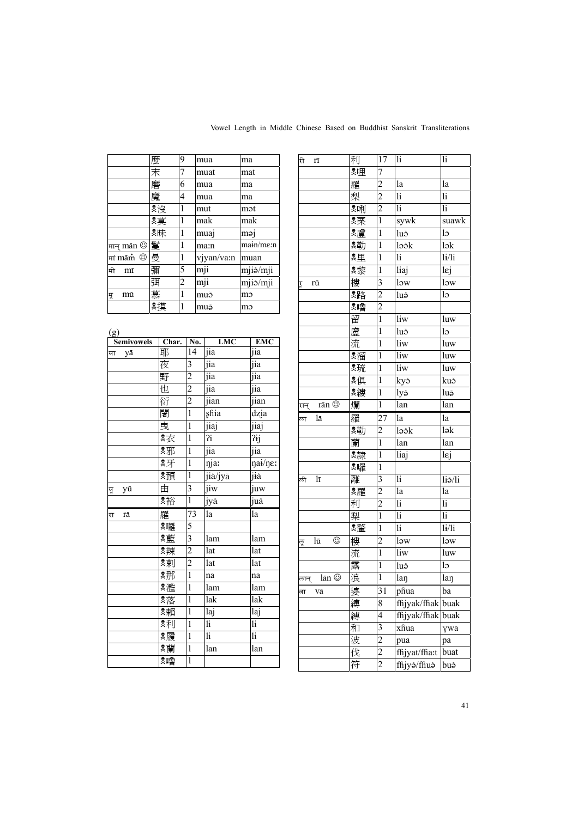|                                                     | 麼  | 9 | mua              | ma                    |
|-----------------------------------------------------|----|---|------------------|-----------------------|
|                                                     | 末  | 7 | muat             | mat                   |
|                                                     | 磨  | 6 | mua              | ma                    |
|                                                     | 魔  | 4 | mua              | ma                    |
|                                                     | 头没 | 1 | mut              | mət                   |
|                                                     | *莫 | 1 | mak              | mak                   |
|                                                     | 默  | 1 | muaj             | məi                   |
| मान $\mathop{\mathsf{man}}\nolimits \mathbb{\odot}$ | 鬘  | 1 | ma:n             | main/m <sub>sin</sub> |
| मां $m$ ā $\dot{\text{m}}$ $\odot$                  | 曼  | 1 | vjyan/va:n       | muan                  |
| मी<br>mī                                            | 彌  | 5 | $\overline{mji}$ | mjiž/mji              |
|                                                     | 弭  | 2 | mji              | mjiž/mji              |
| mū<br>मू                                            | 慕  | 1 | muð              | mo                    |
|                                                     | ஜ摸 | 1 | muð              | mə                    |

| <b>10</b> | <b>Semivowels</b> | Char. No. |                         | <b>LMC</b>    | <b>EMC</b>              |
|-----------|-------------------|-----------|-------------------------|---------------|-------------------------|
| या        | yā                | 耶         | 14                      | jia           | jia                     |
|           |                   | 夜         | 3                       | jia           | jia                     |
|           |                   | 野         | $\overline{c}$          | -<br>jia      | $\frac{1}{\text{jia}}$  |
|           |                   | 也         |                         | jia           | jia                     |
|           |                   | 衍         | $\frac{2}{2}$           | jian          | jian                    |
|           |                   | 闍         |                         | shia          | dzia                    |
|           |                   | 曳         | $\mathbf{1}$            | jiaj          | jiaj                    |
|           |                   | *衣        | $\mathbf{1}$            | ?i            | $\overline{?ij}$        |
|           |                   | 剽邪        | $\,1$                   | jia           | jia                     |
|           |                   | *牙        | $\,1$                   | nja:          | nai/ne:                 |
|           |                   | 関         | $\,1$                   | jiă/jyà       | jià                     |
| यू        | yū                | 由         | 3                       | jiw           | juw                     |
|           |                   | *裕        | $\overline{1}$          | jyă           | juă                     |
| स         | rā                | 羅         | 73                      | la            | la                      |
|           |                   | ஜ嘛        | 5                       |               |                         |
|           |                   | 黸         | $\overline{\mathbf{3}}$ | lam           | lam                     |
|           |                   | ஜ辣        | $\frac{2}{2}$           | lat           | lat                     |
|           |                   | 具東        |                         | lat           | lat                     |
|           |                   | 関那        | $\overline{1}$          | na            | na                      |
|           |                   | *濫        | $\mathbf 1$             | lam           | lam                     |
|           |                   | 関落        | $\,1$                   | lak           | lak                     |
|           |                   | 関         | $\mathbf{1}$            | laj           | $\overline{a}$ j        |
|           |                   | 剽刑        | $\mathbf{1}$            | li            | 1i                      |
|           |                   | 関覆        | $\mathbf{1}$            | $\mathbf{li}$ | $\overline{\textbf{h}}$ |
|           |                   | ஜ 蘭       | $\,1$                   | lan           | lan                     |
|           |                   | ஜோ        | $\overline{1}$          |               |                         |
|           |                   |           |                         |               |                         |

| री<br>n                  | 利         | 17                      | li                             | $\mathop{\rm li}\nolimits$ |
|--------------------------|-----------|-------------------------|--------------------------------|----------------------------|
|                          | ஜ哩        | 7                       |                                |                            |
|                          | 羅         | $\overline{\mathbf{c}}$ | la                             | la                         |
|                          | 梨         | $\overline{2}$          | li                             | li                         |
|                          | <b>臭唎</b> | $\overline{2}$          | $\mathbf{li}$                  | $\mathbf{li}$              |
|                          | *栗        | $\,1$                   | sywk                           | suawk                      |
|                          | 関連        | $\overline{1}$          | luặ                            | $\log$                     |
|                          | 裏勒        | $\,1$                   | ləǎk                           | $l$ ək                     |
|                          | *里        | $\mathbf{1}$            | $\mathop{\rm li}\nolimits$     | 1/1i                       |
|                          | 関黎        | $\mathbf{1}$            | liaj                           | lej                        |
| rū<br>Ĩ                  | 樓         | 3                       | ləw                            | $\overline{a}$             |
|                          | ஜ路        | $\overline{c}$          | luě                            | lэ                         |
|                          | இ‼魯       | $\overline{c}$          |                                |                            |
|                          | 留         | $\mathbf{1}$            | $\overline{\text{li}}\text{w}$ | luw                        |
|                          | 盧         | $\mathbf{1}$            | luă                            | lo                         |
|                          | 流         | $\overline{1}$          | liw                            | luw                        |
|                          | ஜ溜        | $\mathbf{1}$            | liw                            | luw                        |
|                          | 関琉        | $\mathbf{1}$            | liw                            | luw                        |
|                          | *俱        | $\mathbf{1}$            | kyě                            | kuš                        |
|                          | 臭縷        | $\mathbf{1}$            | lyð                            | luě                        |
| rān $\copyright$<br>रान् | 爛         | $\mathbf 1$             | lan                            | $\bar{a}$                  |
| lā<br>ਨਾ                 | 羅         | 27                      | la                             | la                         |
|                          | ஜ 載力      | $\overline{\mathbf{c}}$ | ləǎk                           | $\overline{\text{lab}}$    |
|                          | 蘭         | $\overline{1}$          | lan                            | lan                        |
|                          | 累隷        | $\mathbf{1}$            | liaj                           | lej                        |
|                          | ஜ囉        | $\mathbf{1}$            |                                |                            |
| lī<br>ली                 | 離         | $\overline{\mathbf{3}}$ | li                             | liž/li                     |
|                          | ஜ羅        | $\overline{c}$          | la                             | la                         |
|                          | 利         | $\overline{2}$          | $\mathbf{li}$                  | $\mathbf{li}$              |
|                          | 梨         | $\overline{1}$          | li                             | li                         |
|                          | 関釐        | $\mathbf{1}$            | $\mathbf{li}$                  | 1i/1i                      |
| ☺<br>lū<br>ਲ੍ਰ           | 樓         | $\overline{\mathbf{c}}$ | ləw                            | low                        |
|                          | 流         | $\overline{1}$          | $\overline{\text{li}}\text{w}$ | luw                        |
|                          | 露         | $\mathbf{1}$            | luð                            | $\log$                     |
| lān ©<br>लान्            | 浪         | $\mathbf 1$             | laŋ                            | laŋ                        |
| वा<br>Vā                 | 婆         | 31                      | phua                           | ba                         |
|                          | 縛         | 8                       | fhjyak/fhak                    | buak                       |
|                          | 縛         | 4                       | fhjyak/ffiak                   | buak                       |
|                          | 和         | 3                       | xfiua                          | ywa                        |
|                          | 波         | $\overline{\mathbf{c}}$ | pua                            | рa                         |
|                          | 伐         | 2                       | fhjyat/fha:t                   | buat                       |
|                          | 符         | $\overline{\mathbf{c}}$ | fhjyð/fhuð                     | buð                        |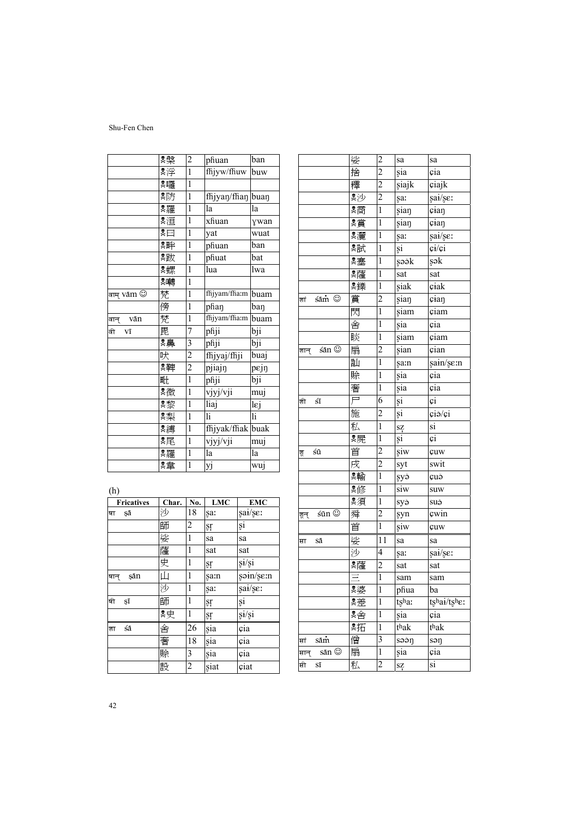|                                           | *紫  | $\overline{c}$ | phuan               | ban               |
|-------------------------------------------|-----|----------------|---------------------|-------------------|
|                                           | *浮  | $\mathbf{1}$   | fhjyw/fhuw          | buw               |
|                                           | ஜ囉  | $\mathbf{1}$   |                     |                   |
|                                           | 関方  | $\mathbf{1}$   | fhjyaŋ/fhaŋ buaŋ    |                   |
|                                           | *羅  | $\mathbf{1}$   | la                  | la                |
|                                           | *洹  | $\mathbf{1}$   | xfiuan              | ywan              |
|                                           | ঃ⊟  | 1              | yat                 | wuat              |
|                                           | 811 | $\mathbf{1}$   | phuan               | ban               |
|                                           | 関数  | 1              | phuat               | bat               |
|                                           | 関螺  | $\mathbf{1}$   | lua                 | lwa               |
|                                           | ஜ啤  | 1              |                     |                   |
| वाम् V $\tilde{\rm a}$ m $\mathbb{\odot}$ | 梵   | $\mathbf{1}$   | ffijyam/ffia:m buam |                   |
|                                           | 傍   | 1              | phan                | ban               |
| बान् vān                                  | 梵   | $\mathbf{1}$   | fhjyam/fha:m        | buam              |
| वी<br>Vī                                  | 毘   | 7              | phji                | bji               |
|                                           | *鼻  | 3              | phji                | $\overline{b}$ ji |
|                                           | 吠   | $\overline{c}$ | ffijyaj/ffiji       | buaj              |
|                                           | 具理  | $\overline{c}$ | pjiajn              | pεjŋ              |
|                                           | 毗   | $\overline{1}$ | phji                | bji               |
|                                           | 具微  | $\mathbf{1}$   | vjyj/vji            | muj               |
|                                           | *黎  | $\mathbf{1}$   | liaj                | lej               |
|                                           | 㮾梨  | 1              | li                  | li                |
|                                           | 関縛  | $\mathbf{1}$   | fhjyak/fhak buak    |                   |
|                                           | 関尾  | 1              | vjyj/vji            | muj               |
|                                           | ஜ羅  | $\mathbf{1}$   | la                  | la                |
|                                           | 関   | $\mathbf{1}$   | yj                  | wuj               |

(h)

| <b>Fricatives</b> | Char. | No.            | ${\bf LMC}$ | <b>EMC</b> |
|-------------------|-------|----------------|-------------|------------|
| şā<br>षा          | 沙     | 18             | sa:         | sai/se:    |
|                   | 師     | 2              | ŞΓ          | şi         |
|                   | 娑     | 1              | sa          | sa         |
|                   | 薩     | 1              | sat         | sat        |
|                   | 史     | 1              | ŞΓ          | si/si      |
| sān<br>षान्       | Щ     | 1              | sam         | soin/se:n  |
|                   | 沙     | 1              | sa:         | sai/se:    |
| षी<br>ŞĪ          | 師     | 1              | şŗ          | şi         |
|                   | *史    | 1              | şŗ          | si/si      |
| śā<br>शा          | 舍     | 26             | sia         | cia        |
|                   | 奢     | 18             | sia         | cia        |
|                   | 賒     | 3              | sia         | çia        |
|                   | 設     | $\overline{2}$ | siat        | ciat       |

|               | 娑  | $\overline{c}$          | sa    | sa                  |
|---------------|----|-------------------------|-------|---------------------|
|               | 捨  | $\overline{c}$          | şia   | cia                 |
|               | 釋  | $\overline{c}$          | siajk | ciajk               |
|               | &沙 | $\overline{c}$          | şa:   | sai/se:             |
|               | 関  | $\mathbf{1}$            | sian  | cian                |
|               | 関  | $\mathbf{1}$            | sian  | cian                |
|               | 関遷 | $\mathbf{1}$            | şa:   | sai/se:             |
|               | 関試 | $\mathbf{1}$            | şi    | $c\dot{i}/c\dot{i}$ |
|               | 関塞 | 1                       | şəək  | şək                 |
|               | ஜ薩 | 1                       | sat   | sat                 |
|               | 具鑠 | $\mathbf{1}$            | siak  | ciak                |
| śām ©<br>शां  | 賞  | $\overline{c}$          | sian  | cian                |
|               | 閃  | $\mathbf{1}$            | siam  | çiam                |
|               | 舍  | 1                       | sia   | cia                 |
|               | 睒  | $\mathbf{1}$            | siam  | çiam                |
| śān ©<br>शान् | 扇  | $\overline{2}$          | sian  | çian                |
|               | 訕  | $\mathbf{1}$            | şa:n  | şain/şe:n           |
|               | 賒  | 1                       | șia   | çia                 |
|               | 奢  | $\mathbf{1}$            | sia   | cia                 |
| śī<br>शी      | 戸  | 6                       | şi    | çi                  |
|               | 施  | $\overline{c}$          | şi    | çiš/çi              |
|               | 私  | $\mathbf{1}$            | sz    | si                  |
|               | 関屍 | $\mathbf{1}$            | şi    | çi                  |
| śū<br>शू      | 首  | $\overline{c}$          | şiw   | çuw                 |
|               | 戌  | $\overline{2}$          | syt   | swit                |
|               | 関輸 | $\mathbf{1}$            | şyð   | çuð                 |
|               | *修 | $\mathbf{1}$            | siw   | suw                 |
|               | 累須 | $\mathbf{1}$            | syð   | suš                 |
| śūn ©<br>शून् | 舜  | $\overline{c}$          | syn   | cwin                |
|               | 首  | $\mathbf{1}$            | siw   | çuw                 |
| Sā<br>सा      | 娑  | 11                      | sa    | sa                  |
|               | 沙  | $\overline{4}$          | şa:   | sai/se:             |
|               | ஜ薩 | $\overline{c}$          | sat   | sat                 |
|               |    | $\mathbf{1}$            | sam   | sam                 |
|               | 関婆 | $\mathbf{1}$            | phua  | ba                  |
|               | 関差 | 1                       | tsha: | tshai/tshe:         |
|               | 関金 | 1                       | sia   | cia                 |
|               | 雾拓 | $\mathbf{1}$            | thak  | thak                |
| sām<br>प्तां  | 僧  | 3                       | səən  | soŋ                 |
| sān ©<br>सान् | 扇  | $\mathbf{1}$            | șia   | cia                 |
| Sī<br>प्ती    | 私  | $\overline{\mathbf{c}}$ | sz    | si                  |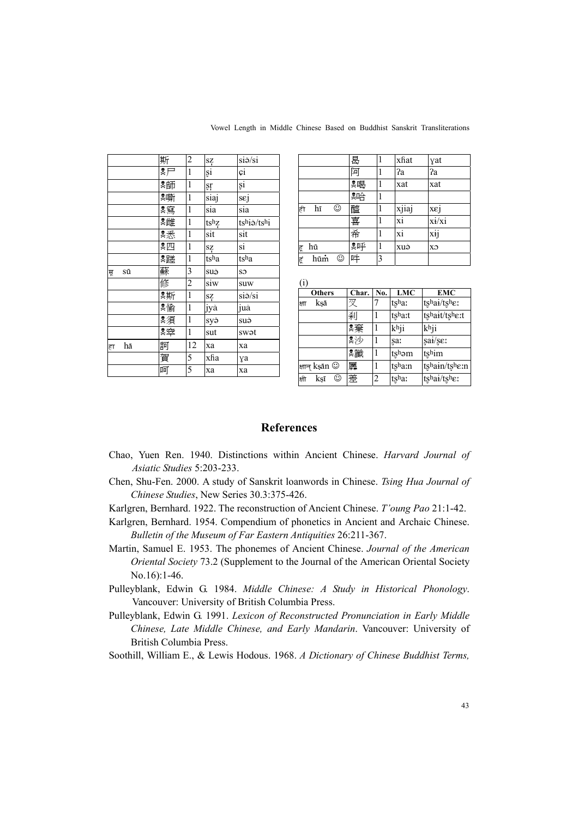|          | 斯                       | 2              | sz   | $si\check{o}/si$    |
|----------|-------------------------|----------------|------|---------------------|
|          | $\overline{\mathbb{R}}$ | $\mathbf{1}$   | şi   | çi                  |
|          | *師                      | $\mathbf{1}$   | şŗ   | şi                  |
|          |                         | $\mathbf{1}$   | siaj | sej                 |
|          | *寫                      | $\mathbf{1}$   | sia  | sia                 |
|          | ■ ※雌                    | $\mathbf{1}$   | tshz | tshi <i>i</i> /tshi |
|          | *悉                      | $\mathbf{1}$   | sit  | sit                 |
|          | *四                      | $\mathbf{1}$   | SZ   | si                  |
|          | *蹉                      | $\mathbf{1}$   | tsha | tsha                |
| sū<br>सू | 蘇                       | 3              | suě  | SO                  |
|          | 修                       | $\overline{c}$ | siw  | suw                 |
|          | *斯                      | $\,1$          | SZ   | $si\delta/si$       |
|          | 関                       | $\mathbf{1}$   | jyă  | juă                 |
|          | 関須                      | $\mathbf{1}$   | syð  | suě                 |
|          | 繫                       | $\mathbf{1}$   | sut  | swat                |
| hā<br>हा | 訶                       | 12             | xa   | xa                  |
|          | 賀                       | 5              | xfia | γa                  |
|          | 呵                       | 5              | xa   | xa                  |

Vowel Length in Middle Chinese Based on Buddhist Sanskrit Transliterations

|     |     |   | 曷  |   | xfiat                  | yat   |
|-----|-----|---|----|---|------------------------|-------|
|     |     |   | 阿  |   | ?a                     | ?a    |
|     |     |   | ஜே |   | xat                    | xat   |
|     |     |   | 夏  | 1 |                        |       |
| ही  | hī  | ☺ | 醯  |   | xjiaj                  | xεj   |
|     |     |   | 喜  |   | $\overline{\text{xi}}$ | xi/xi |
|     |     |   | 希  |   | xi                     | xij   |
| ह्  | hū  |   | *呼 | 1 | xuě                    | CX    |
| हिं | hūm | ☺ | 吽  | 3 |                        |       |

 $(i)$ 

| $1 + 7$ |               |   |       |     |        |               |
|---------|---------------|---|-------|-----|--------|---------------|
|         | <b>Others</b> |   | Char. | No. | LMC    | EMC           |
| क्षा    | ksā           |   | 叉     |     | tsha:  | tshai/tshe:   |
|         |               |   | 刹     |     | tshart | tshait/tshert |
|         |               |   | *棄    |     | khji   | khji          |
|         |               |   | 臭沙    |     | saː    | sai/se        |
|         |               |   | 関戦    |     | tshom  | tshim         |
|         | क्षान् kṣān © |   | 羼     |     | tsham  | tshain/tshe:n |
| क्षी    | ksī           | ☺ | 差     | 2   | tsha:  | tshai/tsher   |

## **References**

- Chao, Yuen Ren. 1940. Distinctions within Ancient Chinese. Harvard Journal of Asiatic Studies 5:203-233.
- Chen, Shu-Fen. 2000. A study of Sanskrit loanwords in Chinese. Tsing Hua Journal of Chinese Studies, New Series 30.3:375-426.
- Karlgren, Bernhard. 1922. The reconstruction of Ancient Chinese. T'oung Pao 21:1-42.
- Karlgren, Bernhard. 1954. Compendium of phonetics in Ancient and Archaic Chinese. Bulletin of the Museum of Far Eastern Antiquities 26:211-367.
- Martin, Samuel E. 1953. The phonemes of Ancient Chinese. Journal of the American Oriental Society 73.2 (Supplement to the Journal of the American Oriental Society No.16):1-46.
- Pulleyblank, Edwin G. 1984. Middle Chinese: A Study in Historical Phonology. Vancouver: University of British Columbia Press.
- Pulleyblank, Edwin G. 1991. Lexicon of Reconstructed Pronunciation in Early Middle Chinese, Late Middle Chinese, and Early Mandarin. Vancouver: University of British Columbia Press.
- Soothill, William E., & Lewis Hodous. 1968. A Dictionary of Chinese Buddhist Terms,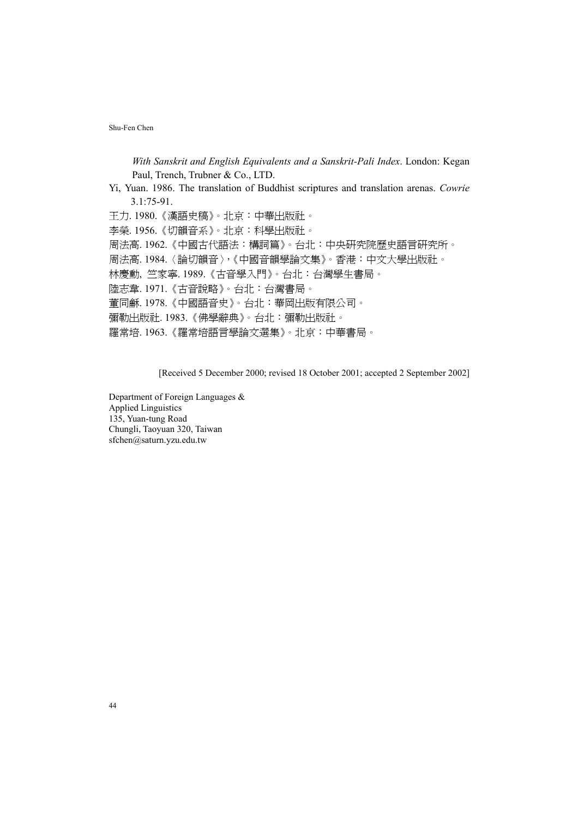*With Sanskrit and English Equivalents and a Sanskrit-Pali Index*. London: Kegan Paul, Trench, Trubner & Co., LTD.

Yi, Yuan. 1986. The translation of Buddhist scriptures and translation arenas. *Cowrie* 3.1:75-91.

王力. 1980.《漢語史稿》。北京:中華出版社。 李榮. 1956.《切韻音系》。北京:科學出版社。 周法高. 1962.《中國古代語法:構詞篇》。台北:中央研究院歷史語言研究所。 周法高. 1984.〈論切韻音〉,《中國音韻學論文集》。香港:中文大學出版社。 林慶勳, 竺家寧. 1989.《古音學入門》。台北:台灣學生書局。 陸志韋. 1971.《古音說略》。台北:台灣書局。 董同龢. 1978.《中國語音史》。台北:華岡出版有限公司。 彌勒出版社. 1983.《佛學辭典》。台北:彌勒出版社。 羅常培. 1963.《羅常培語言學論文選集》。北京:中華書局。

[Received 5 December 2000; revised 18 October 2001; accepted 2 September 2002]

Department of Foreign Languages & Applied Linguistics 135, Yuan-tung Road Chungli, Taoyuan 320, Taiwan sfchen@saturn.yzu.edu.tw